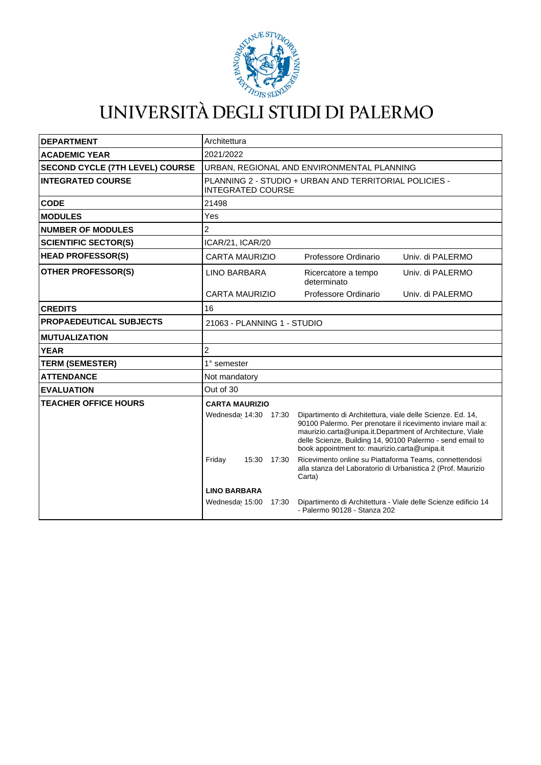

# UNIVERSITÀ DEGLI STUDI DI PALERMO

| <b>DEPARTMENT</b>                      | Architettura                                                                       |             |                                                                                                                                                                                                                                                                                                     |                  |
|----------------------------------------|------------------------------------------------------------------------------------|-------------|-----------------------------------------------------------------------------------------------------------------------------------------------------------------------------------------------------------------------------------------------------------------------------------------------------|------------------|
| <b>ACADEMIC YEAR</b>                   | 2021/2022                                                                          |             |                                                                                                                                                                                                                                                                                                     |                  |
| <b>SECOND CYCLE (7TH LEVEL) COURSE</b> | URBAN, REGIONAL AND ENVIRONMENTAL PLANNING                                         |             |                                                                                                                                                                                                                                                                                                     |                  |
| <b>INTEGRATED COURSE</b>               | PLANNING 2 - STUDIO + URBAN AND TERRITORIAL POLICIES -<br><b>INTEGRATED COURSE</b> |             |                                                                                                                                                                                                                                                                                                     |                  |
| <b>CODE</b>                            | 21498                                                                              |             |                                                                                                                                                                                                                                                                                                     |                  |
| <b>MODULES</b>                         | Yes                                                                                |             |                                                                                                                                                                                                                                                                                                     |                  |
| <b>NUMBER OF MODULES</b>               | 2                                                                                  |             |                                                                                                                                                                                                                                                                                                     |                  |
| <b>SCIENTIFIC SECTOR(S)</b>            | ICAR/21, ICAR/20                                                                   |             |                                                                                                                                                                                                                                                                                                     |                  |
| <b>HEAD PROFESSOR(S)</b>               | <b>CARTA MAURIZIO</b>                                                              |             | Professore Ordinario                                                                                                                                                                                                                                                                                | Univ. di PALERMO |
| <b>OTHER PROFESSOR(S)</b>              | <b>LINO BARBARA</b>                                                                |             | Ricercatore a tempo<br>determinato                                                                                                                                                                                                                                                                  | Univ. di PALERMO |
|                                        | <b>CARTA MAURIZIO</b>                                                              |             | Professore Ordinario                                                                                                                                                                                                                                                                                | Univ. di PALERMO |
| <b>CREDITS</b>                         | 16                                                                                 |             |                                                                                                                                                                                                                                                                                                     |                  |
| <b>PROPAEDEUTICAL SUBJECTS</b>         | 21063 - PLANNING 1 - STUDIO                                                        |             |                                                                                                                                                                                                                                                                                                     |                  |
| <b>MUTUALIZATION</b>                   |                                                                                    |             |                                                                                                                                                                                                                                                                                                     |                  |
| <b>YEAR</b>                            | $\overline{c}$                                                                     |             |                                                                                                                                                                                                                                                                                                     |                  |
| <b>TERM (SEMESTER)</b>                 | 1° semester                                                                        |             |                                                                                                                                                                                                                                                                                                     |                  |
| <b>ATTENDANCE</b>                      | Not mandatory                                                                      |             |                                                                                                                                                                                                                                                                                                     |                  |
| <b>EVALUATION</b>                      | Out of 30                                                                          |             |                                                                                                                                                                                                                                                                                                     |                  |
| <b>TEACHER OFFICE HOURS</b>            | <b>CARTA MAURIZIO</b>                                                              |             |                                                                                                                                                                                                                                                                                                     |                  |
|                                        | Wednesda 14:30                                                                     | 17:30       | Dipartimento di Architettura, viale delle Scienze. Ed. 14,<br>90100 Palermo. Per prenotare il ricevimento inviare mail a:<br>maurizio.carta@unipa.it.Department of Architecture, Viale<br>delle Scienze, Building 14, 90100 Palermo - send email to<br>book appointment to: maurizio.carta@unipa.it |                  |
|                                        | Friday                                                                             | 15:30 17:30 | Ricevimento online su Piattaforma Teams, connettendosi<br>alla stanza del Laboratorio di Urbanistica 2 (Prof. Maurizio<br>Carta)                                                                                                                                                                    |                  |
|                                        | <b>LINO BARBARA</b>                                                                |             |                                                                                                                                                                                                                                                                                                     |                  |
|                                        | Wednesday 15:00                                                                    | 17:30       | Dipartimento di Architettura - Viale delle Scienze edificio 14<br>- Palermo 90128 - Stanza 202                                                                                                                                                                                                      |                  |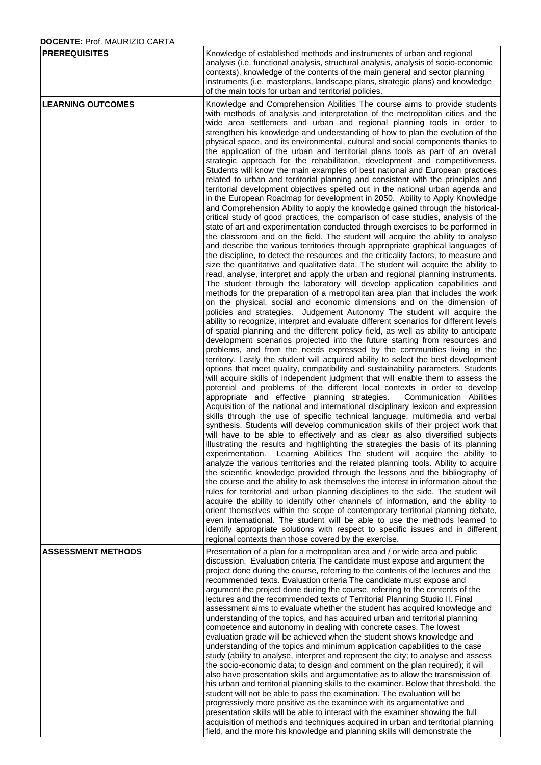## **DOCENTE:** Prof. MAURIZIO CARTA

| <b>PREREQUISITES</b>      | Knowledge of established methods and instruments of urban and regional<br>analysis (i.e. functional analysis, structural analysis, analysis of socio-economic<br>contexts), knowledge of the contents of the main general and sector planning<br>instruments (i.e. masterplans, landscape plans, strategic plans) and knowledge<br>of the main tools for urban and territorial policies.                                                                                                                                                                                                                                                                                                                                                                                                                                                                                                                                                                                                                                                                                                                                                                                                                                                                                                                                                                                                                                                                                                                                                                                                                                                                                                                                                                                                                                                                                                                                                                                                                                                                                                                                                                                                                                                                                                                                                                                                                                                                                                                                                                                                                                                                                                                                                                                                                                                                                                                                                                                                                                                                                                                                                                                                                                                                                                                                                                                                                                                                                                                                                                                                                                                                                                                                                                                                                                                                                                                                                                                            |
|---------------------------|-------------------------------------------------------------------------------------------------------------------------------------------------------------------------------------------------------------------------------------------------------------------------------------------------------------------------------------------------------------------------------------------------------------------------------------------------------------------------------------------------------------------------------------------------------------------------------------------------------------------------------------------------------------------------------------------------------------------------------------------------------------------------------------------------------------------------------------------------------------------------------------------------------------------------------------------------------------------------------------------------------------------------------------------------------------------------------------------------------------------------------------------------------------------------------------------------------------------------------------------------------------------------------------------------------------------------------------------------------------------------------------------------------------------------------------------------------------------------------------------------------------------------------------------------------------------------------------------------------------------------------------------------------------------------------------------------------------------------------------------------------------------------------------------------------------------------------------------------------------------------------------------------------------------------------------------------------------------------------------------------------------------------------------------------------------------------------------------------------------------------------------------------------------------------------------------------------------------------------------------------------------------------------------------------------------------------------------------------------------------------------------------------------------------------------------------------------------------------------------------------------------------------------------------------------------------------------------------------------------------------------------------------------------------------------------------------------------------------------------------------------------------------------------------------------------------------------------------------------------------------------------------------------------------------------------------------------------------------------------------------------------------------------------------------------------------------------------------------------------------------------------------------------------------------------------------------------------------------------------------------------------------------------------------------------------------------------------------------------------------------------------------------------------------------------------------------------------------------------------------------------------------------------------------------------------------------------------------------------------------------------------------------------------------------------------------------------------------------------------------------------------------------------------------------------------------------------------------------------------------------------------------------------------------------------------------------------------------------------------|
| <b>LEARNING OUTCOMES</b>  | Knowledge and Comprehension Abilities The course aims to provide students<br>with methods of analysis and interpretation of the metropolitan cities and the<br>wide area settlemets and urban and regional planning tools in order to<br>strengthen his knowledge and understanding of how to plan the evolution of the<br>physical space, and its environmental, cultural and social components thanks to<br>the application of the urban and territorial plans tools as part of an overall<br>strategic approach for the rehabilitation, development and competitiveness.<br>Students will know the main examples of best national and European practices<br>related to urban and territorial planning and consistent with the principles and<br>territorial development objectives spelled out in the national urban agenda and<br>in the European Roadmap for development in 2050. Ability to Apply Knowledge<br>and Comprehension Ability to apply the knowledge gained through the historical-<br>critical study of good practices, the comparison of case studies, analysis of the<br>state of art and experimentation conducted through exercises to be performed in<br>the classroom and on the field. The student will acquire the ability to analyse<br>and describe the various territories through appropriate graphical languages of<br>the discipline, to detect the resources and the criticality factors, to measure and<br>size the quantitative and qualitative data. The student will acquire the ability to<br>read, analyse, interpret and apply the urban and regional planning instruments.<br>The student through the laboratory will develop application capabilities and<br>methods for the preparation of a metropolitan area plan that includes the work<br>on the physical, social and economic dimensions and on the dimension of<br>policies and strategies. Judgement Autonomy The student will acquire the<br>ability to recognize, interpret and evaluate different scenarios for different levels<br>of spatial planning and the different policy field, as well as ability to anticipate<br>development scenarios projected into the future starting from resources and<br>problems, and from the needs expressed by the communities living in the<br>territory. Lastly the student will acquired ability to select the best development<br>options that meet quality, compatibility and sustainability parameters. Students<br>will acquire skills of independent judgment that will enable them to assess the<br>potential and problems of the different local contexts in order to develop<br>appropriate and effective planning strategies.<br>Communication Abilities<br>Acquisition of the national and international disciplinary lexicon and expression<br>skills through the use of specific technical language, multimedia and verbal<br>synthesis. Students will develop communication skills of their project work that<br>will have to be able to effectively and as clear as also diversified subjects<br>illustrating the results and highlighting the strategies the basis of its planning<br>experimentation. Learning Abilities The student will acquire the ability to<br>analyze the various territories and the related planning tools. Ability to acquire<br>the scientific knowledge provided through the lessons and the bibliography of<br>the course and the ability to ask themselves the interest in information about the<br>rules for territorial and urban planning disciplines to the side. The student will<br>acquire the ability to identify other channels of information, and the ability to<br>orient themselves within the scope of contemporary territorial planning debate,<br>even international. The student will be able to use the methods learned to<br>identify appropriate solutions with respect to specific issues and in different<br>regional contexts than those covered by the exercise. |
| <b>ASSESSMENT METHODS</b> | Presentation of a plan for a metropolitan area and / or wide area and public<br>discussion. Evaluation criteria The candidate must expose and argument the<br>project done during the course, referring to the contents of the lectures and the<br>recommended texts. Evaluation criteria The candidate must expose and<br>argument the project done during the course, referring to the contents of the<br>lectures and the recommended texts of Territorial Planning Studio II. Final<br>assessment aims to evaluate whether the student has acquired knowledge and<br>understanding of the topics, and has acquired urban and territorial planning<br>competence and autonomy in dealing with concrete cases. The lowest<br>evaluation grade will be achieved when the student shows knowledge and<br>understanding of the topics and minimum application capabilities to the case<br>study (ability to analyse, interpret and represent the city; to analyse and assess<br>the socio-economic data; to design and comment on the plan required); it will<br>also have presentation skills and argumentative as to allow the transmission of<br>his urban and territorial planning skills to the examiner. Below that threshold, the<br>student will not be able to pass the examination. The evaluation will be<br>progressively more positive as the examinee with its argumentative and<br>presentation skills will be able to interact with the examiner showing the full<br>acquisition of methods and techniques acquired in urban and territorial planning<br>field, and the more his knowledge and planning skills will demonstrate the                                                                                                                                                                                                                                                                                                                                                                                                                                                                                                                                                                                                                                                                                                                                                                                                                                                                                                                                                                                                                                                                                                                                                                                                                                                                                                                                                                                                                                                                                                                                                                                                                                                                                                                                                                                                                                                                                                                                                                                                                                                                                                                                                                                                                                                                                                                                  |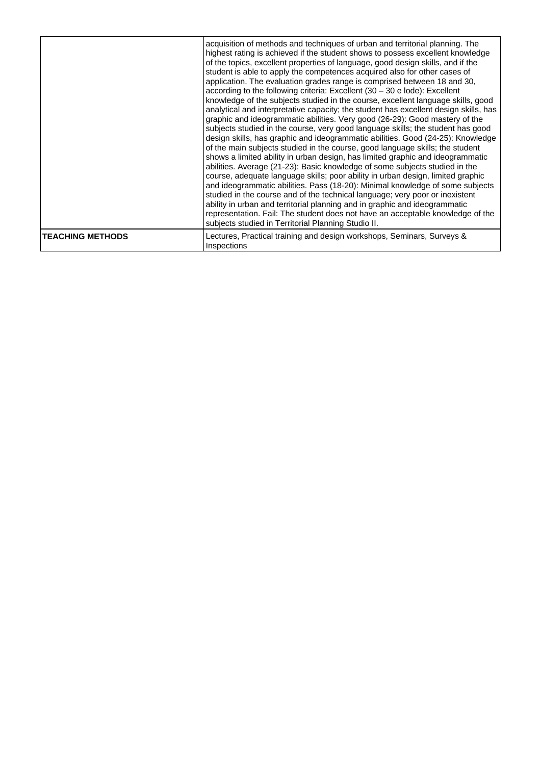|                         | acquisition of methods and techniques of urban and territorial planning. The<br>highest rating is achieved if the student shows to possess excellent knowledge<br>of the topics, excellent properties of language, good design skills, and if the<br>student is able to apply the competences acquired also for other cases of<br>application. The evaluation grades range is comprised between 18 and 30,<br>according to the following criteria: Excellent $(30 - 30 e \cdot 100e)$ : Excellent<br>knowledge of the subjects studied in the course, excellent language skills, good<br>analytical and interpretative capacity; the student has excellent design skills, has<br>graphic and ideogrammatic abilities. Very good (26-29): Good mastery of the<br>subjects studied in the course, very good language skills; the student has good<br>design skills, has graphic and ideogrammatic abilities. Good (24-25): Knowledge<br>of the main subjects studied in the course, good language skills; the student<br>shows a limited ability in urban design, has limited graphic and ideogrammatic<br>abilities. Average (21-23): Basic knowledge of some subjects studied in the<br>course, adequate language skills; poor ability in urban design, limited graphic<br>and ideogrammatic abilities. Pass (18-20): Minimal knowledge of some subjects<br>studied in the course and of the technical language; very poor or inexistent<br>ability in urban and territorial planning and in graphic and ideogrammatic<br>representation. Fail: The student does not have an acceptable knowledge of the<br>subjects studied in Territorial Planning Studio II. |
|-------------------------|-----------------------------------------------------------------------------------------------------------------------------------------------------------------------------------------------------------------------------------------------------------------------------------------------------------------------------------------------------------------------------------------------------------------------------------------------------------------------------------------------------------------------------------------------------------------------------------------------------------------------------------------------------------------------------------------------------------------------------------------------------------------------------------------------------------------------------------------------------------------------------------------------------------------------------------------------------------------------------------------------------------------------------------------------------------------------------------------------------------------------------------------------------------------------------------------------------------------------------------------------------------------------------------------------------------------------------------------------------------------------------------------------------------------------------------------------------------------------------------------------------------------------------------------------------------------------------------------------------------------------------------------------------------------|
| <b>TEACHING METHODS</b> | Lectures, Practical training and design workshops, Seminars, Surveys &<br>Inspections                                                                                                                                                                                                                                                                                                                                                                                                                                                                                                                                                                                                                                                                                                                                                                                                                                                                                                                                                                                                                                                                                                                                                                                                                                                                                                                                                                                                                                                                                                                                                                           |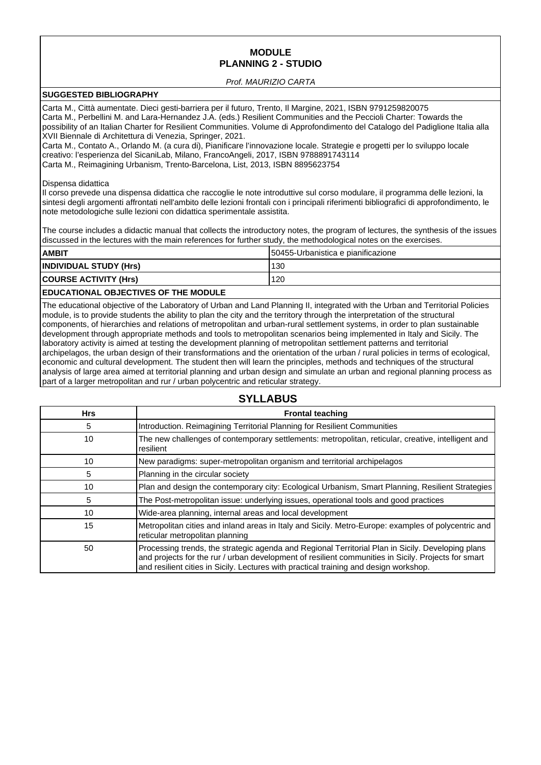# **MODULE PLANNING 2 - STUDIO**

#### Prof. MAURIZIO CARTA

### **SUGGESTED BIBLIOGRAPHY**

Carta M., Città aumentate. Dieci gesti-barriera per il futuro, Trento, Il Margine, 2021, ISBN 9791259820075 Carta M., Perbellini M. and Lara-Hernandez J.A. (eds.) Resilient Communities and the Peccioli Charter: Towards the possibility of an Italian Charter for Resilient Communities. Volume di Approfondimento del Catalogo del Padiglione Italia alla

XVII Biennale di Architettura di Venezia, Springer, 2021. Carta M., Contato A., Orlando M. (a cura di), Pianificare l'innovazione locale. Strategie e progetti per lo sviluppo locale

creativo: l'esperienza del SicaniLab, Milano, FrancoAngeli, 2017, ISBN 9788891743114 Carta M., Reimagining Urbanism, Trento-Barcelona, List, 2013, ISBN 8895623754

#### Dispensa didattica

Il corso prevede una dispensa didattica che raccoglie le note introduttive sul corso modulare, il programma delle lezioni, la sintesi degli argomenti affrontati nell'ambito delle lezioni frontali con i principali riferimenti bibliografici di approfondimento, le note metodologiche sulle lezioni con didattica sperimentale assistita.

The course includes a didactic manual that collects the introductory notes, the program of lectures, the synthesis of the issues discussed in the lectures with the main references for further study, the methodological notes on the exercises.

| <b>AMBIT</b>                  | 150455-Urbanistica e pianificazione |
|-------------------------------|-------------------------------------|
| <b>INDIVIDUAL STUDY (Hrs)</b> | 130                                 |
| <b>COURSE ACTIVITY (Hrs)</b>  | 120                                 |
|                               |                                     |

## **EDUCATIONAL OBJECTIVES OF THE MODULE**

The educational objective of the Laboratory of Urban and Land Planning II, integrated with the Urban and Territorial Policies module, is to provide students the ability to plan the city and the territory through the interpretation of the structural components, of hierarchies and relations of metropolitan and urban-rural settlement systems, in order to plan sustainable development through appropriate methods and tools to metropolitan scenarios being implemented in Italy and Sicily. The laboratory activity is aimed at testing the development planning of metropolitan settlement patterns and territorial archipelagos, the urban design of their transformations and the orientation of the urban / rural policies in terms of ecological, economic and cultural development. The student then will learn the principles, methods and techniques of the structural analysis of large area aimed at territorial planning and urban design and simulate an urban and regional planning process as part of a larger metropolitan and rur / urban polycentric and reticular strategy.

| <b>Hrs</b> | <b>Frontal teaching</b>                                                                                                                                                                                                                                                                           |
|------------|---------------------------------------------------------------------------------------------------------------------------------------------------------------------------------------------------------------------------------------------------------------------------------------------------|
| 5          | Introduction. Reimagining Territorial Planning for Resilient Communities                                                                                                                                                                                                                          |
| 10         | The new challenges of contemporary settlements: metropolitan, reticular, creative, intelligent and<br>resilient                                                                                                                                                                                   |
| 10         | New paradigms: super-metropolitan organism and territorial archipelagos                                                                                                                                                                                                                           |
| 5          | Planning in the circular society                                                                                                                                                                                                                                                                  |
| 10         | Plan and design the contemporary city: Ecological Urbanism, Smart Planning, Resilient Strategies                                                                                                                                                                                                  |
| 5          | The Post-metropolitan issue: underlying issues, operational tools and good practices                                                                                                                                                                                                              |
| 10         | Wide-area planning, internal areas and local development                                                                                                                                                                                                                                          |
| 15         | Metropolitan cities and inland areas in Italy and Sicily. Metro-Europe: examples of polycentric and<br>reticular metropolitan planning                                                                                                                                                            |
| 50         | Processing trends, the strategic agenda and Regional Territorial Plan in Sicily. Developing plans<br>and projects for the rur / urban development of resilient communities in Sicily. Projects for smart<br>and resilient cities in Sicily. Lectures with practical training and design workshop. |

# **SYLLABUS**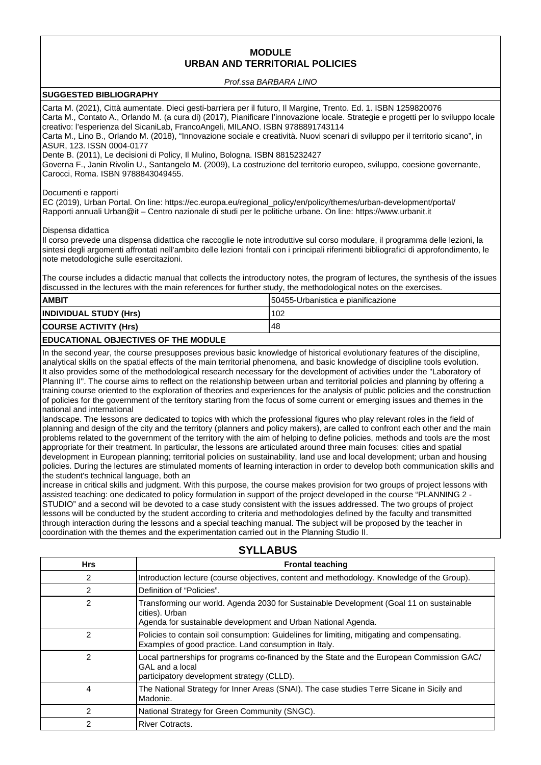## **MODULE URBAN AND TERRITORIAL POLICIES**

Prof.ssa BARBARA LINO

### **SUGGESTED BIBLIOGRAPHY**

Carta M. (2021), Città aumentate. Dieci gesti-barriera per il futuro, Il Margine, Trento. Ed. 1. ISBN 1259820076 Carta M., Contato A., Orlando M. (a cura di) (2017), Pianificare l'innovazione locale. Strategie e progetti per lo sviluppo locale creativo: l'esperienza del SicaniLab, FrancoAngeli, MILANO. ISBN 9788891743114 Carta M., Lino B., Orlando M. (2018), "Innovazione sociale e creatività. Nuovi scenari di sviluppo per il territorio sicano", in ASUR, 123. ISSN 0004-0177 Dente B. (2011), Le decisioni di Policy, Il Mulino, Bologna. ISBN 8815232427 Governa F., Janin Rivolin U., Santangelo M. (2009), La costruzione del territorio europeo, sviluppo, coesione governante, Carocci, Roma. ISBN 9788843049455.

#### Documenti e rapporti

EC (2019), Urban Portal. On line: https://ec.europa.eu/regional\_policy/en/policy/themes/urban-development/portal/ Rapporti annuali Urban@it – Centro nazionale di studi per le politiche urbane. On line: https://www.urbanit.it

#### Dispensa didattica

Il corso prevede una dispensa didattica che raccoglie le note introduttive sul corso modulare, il programma delle lezioni, la sintesi degli argomenti affrontati nell'ambito delle lezioni frontali con i principali riferimenti bibliografici di approfondimento, le note metodologiche sulle esercitazioni.

The course includes a didactic manual that collects the introductory notes, the program of lectures, the synthesis of the issues discussed in the lectures with the main references for further study, the methodological notes on the exercises.

| <b>AMBIT</b>                  | 150455-Urbanistica e pianificazione |
|-------------------------------|-------------------------------------|
| <b>INDIVIDUAL STUDY (Hrs)</b> | 102                                 |
| <b>COURSE ACTIVITY (Hrs)</b>  | 48                                  |
|                               |                                     |

### **EDUCATIONAL OBJECTIVES OF THE MODULE**

In the second year, the course presupposes previous basic knowledge of historical evolutionary features of the discipline, analytical skills on the spatial effects of the main territorial phenomena, and basic knowledge of discipline tools evolution. It also provides some of the methodological research necessary for the development of activities under the "Laboratory of Planning II". The course aims to reflect on the relationship between urban and territorial policies and planning by offering a training course oriented to the exploration of theories and experiences for the analysis of public policies and the construction of policies for the government of the territory starting from the focus of some current or emerging issues and themes in the national and international

landscape. The lessons are dedicated to topics with which the professional figures who play relevant roles in the field of planning and design of the city and the territory (planners and policy makers), are called to confront each other and the main problems related to the government of the territory with the aim of helping to define policies, methods and tools are the most appropriate for their treatment. In particular, the lessons are articulated around three main focuses: cities and spatial development in European planning; territorial policies on sustainability, land use and local development; urban and housing policies. During the lectures are stimulated moments of learning interaction in order to develop both communication skills and the student's technical language, both an

increase in critical skills and judgment. With this purpose, the course makes provision for two groups of project lessons with assisted teaching: one dedicated to policy formulation in support of the project developed in the course "PLANNING 2 - STUDIO" and a second will be devoted to a case study consistent with the issues addressed. The two groups of project lessons will be conducted by the student according to criteria and methodologies defined by the faculty and transmitted through interaction during the lessons and a special teaching manual. The subject will be proposed by the teacher in coordination with the themes and the experimentation carried out in the Planning Studio II.

| <b>Hrs</b> | <b>Frontal teaching</b>                                                                                                                                                    |
|------------|----------------------------------------------------------------------------------------------------------------------------------------------------------------------------|
| 2          | Introduction lecture (course objectives, content and methodology. Knowledge of the Group).                                                                                 |
| 2          | Definition of "Policies".                                                                                                                                                  |
| 2          | Transforming our world. Agenda 2030 for Sustainable Development (Goal 11 on sustainable<br>cities). Urban<br>Agenda for sustainable development and Urban National Agenda. |
| 2          | Policies to contain soil consumption: Guidelines for limiting, mitigating and compensating.<br>Examples of good practice. Land consumption in Italy.                       |
| 2          | Local partnerships for programs co-financed by the State and the European Commission GAC/<br>GAL and a local<br>participatory development strategy (CLLD).                 |
| 4          | The National Strategy for Inner Areas (SNAI). The case studies Terre Sicane in Sicily and<br>l Madonie.                                                                    |
| 2          | National Strategy for Green Community (SNGC).                                                                                                                              |
| 2          | <b>River Cotracts.</b>                                                                                                                                                     |

# **SYLLABUS**